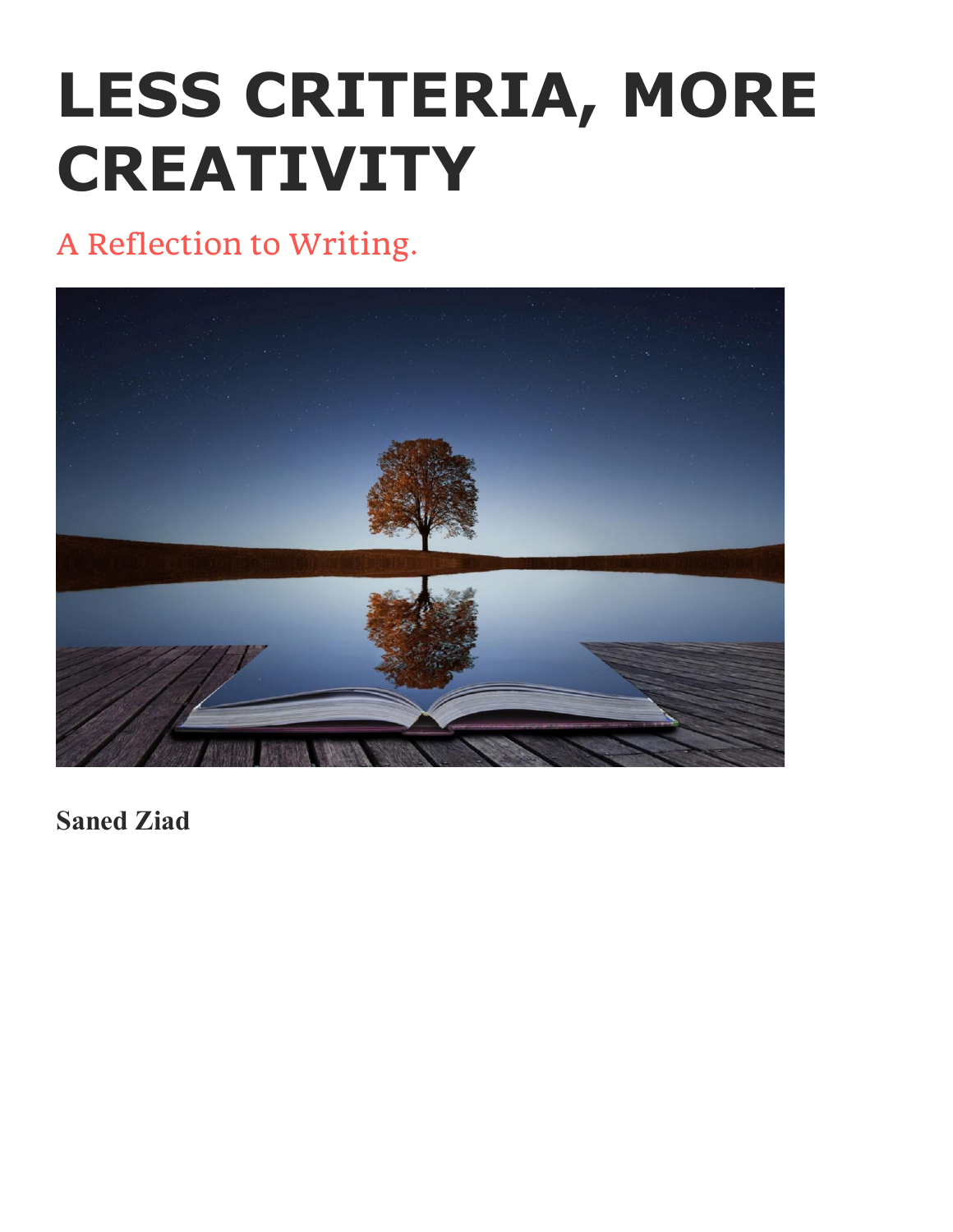# **LESS CRITERIA, MORE CREATIVITY**

# A Reflection to Writing.



**Saned Ziad**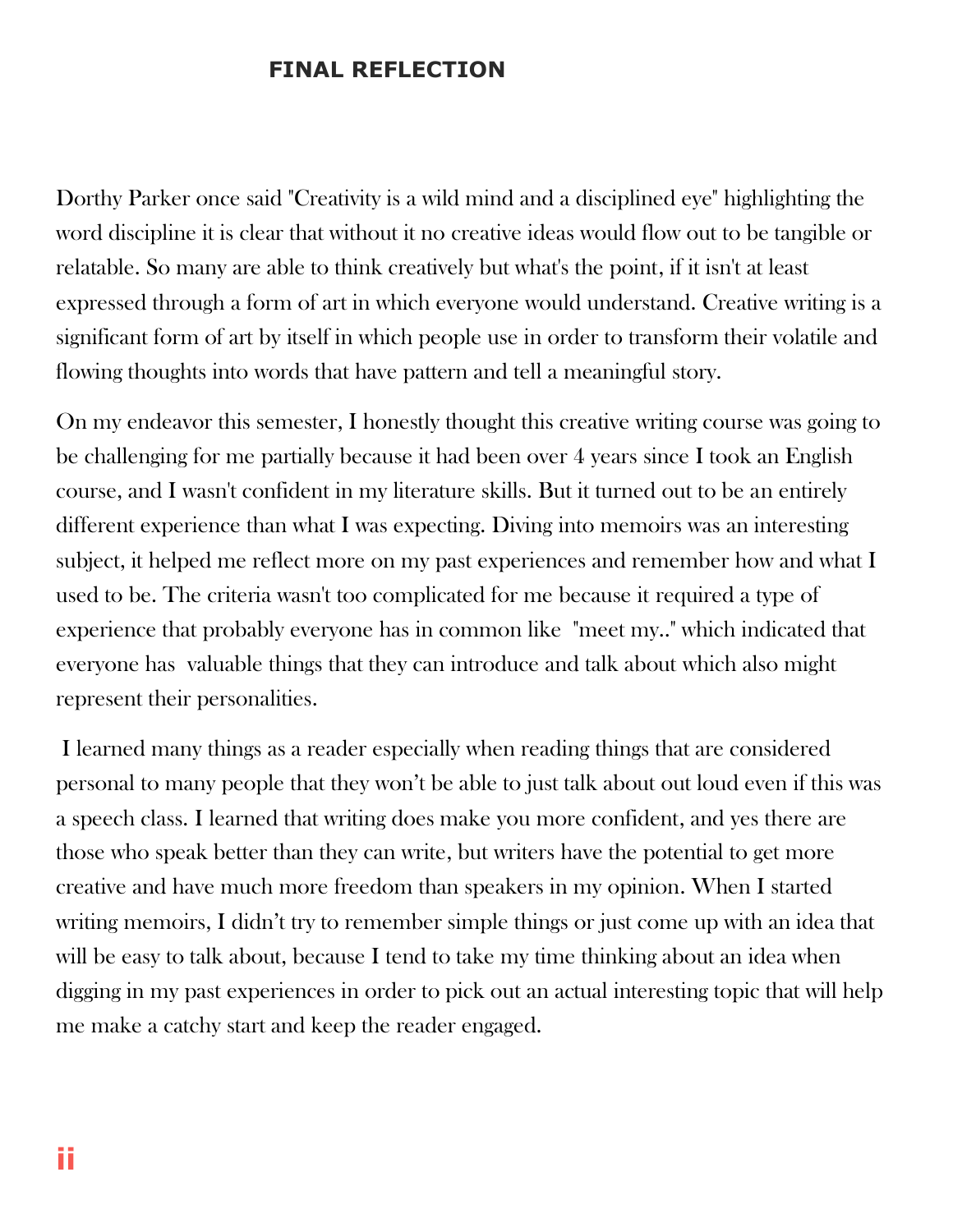#### **FINAL REFLECTION**

Dorthy Parker once said "Creativity is a wild mind and a disciplined eye" highlighting the word discipline it is clear that without it no creative ideas would flow out to be tangible or relatable. So many are able to think creatively but what's the point, if it isn't at least expressed through a form of art in which everyone would understand. Creative writing is a significant form of art by itself in which people use in order to transform their volatile and flowing thoughts into words that have pattern and tell a meaningful story.

On my endeavor this semester, I honestly thought this creative writing course was going to be challenging for me partially because it had been over 4 years since I took an English course, and I wasn't confident in my literature skills. But it turned out to be an entirely different experience than what I was expecting. Diving into memoirs was an interesting subject, it helped me reflect more on my past experiences and remember how and what I used to be. The criteria wasn't too complicated for me because it required a type of experience that probably everyone has in common like "meet my.." which indicated that everyone has valuable things that they can introduce and talk about which also might represent their personalities.

I learned many things as a reader especially when reading things that are considered personal to many people that they won't be able to just talk about out loud even if this was a speech class. I learned that writing does make you more confident, and yes there are those who speak better than they can write, but writers have the potential to get more creative and have much more freedom than speakers in my opinion. When I started writing memoirs, I didn't try to remember simple things or just come up with an idea that will be easy to talk about, because I tend to take my time thinking about an idea when digging in my past experiences in order to pick out an actual interesting topic that will help me make a catchy start and keep the reader engaged.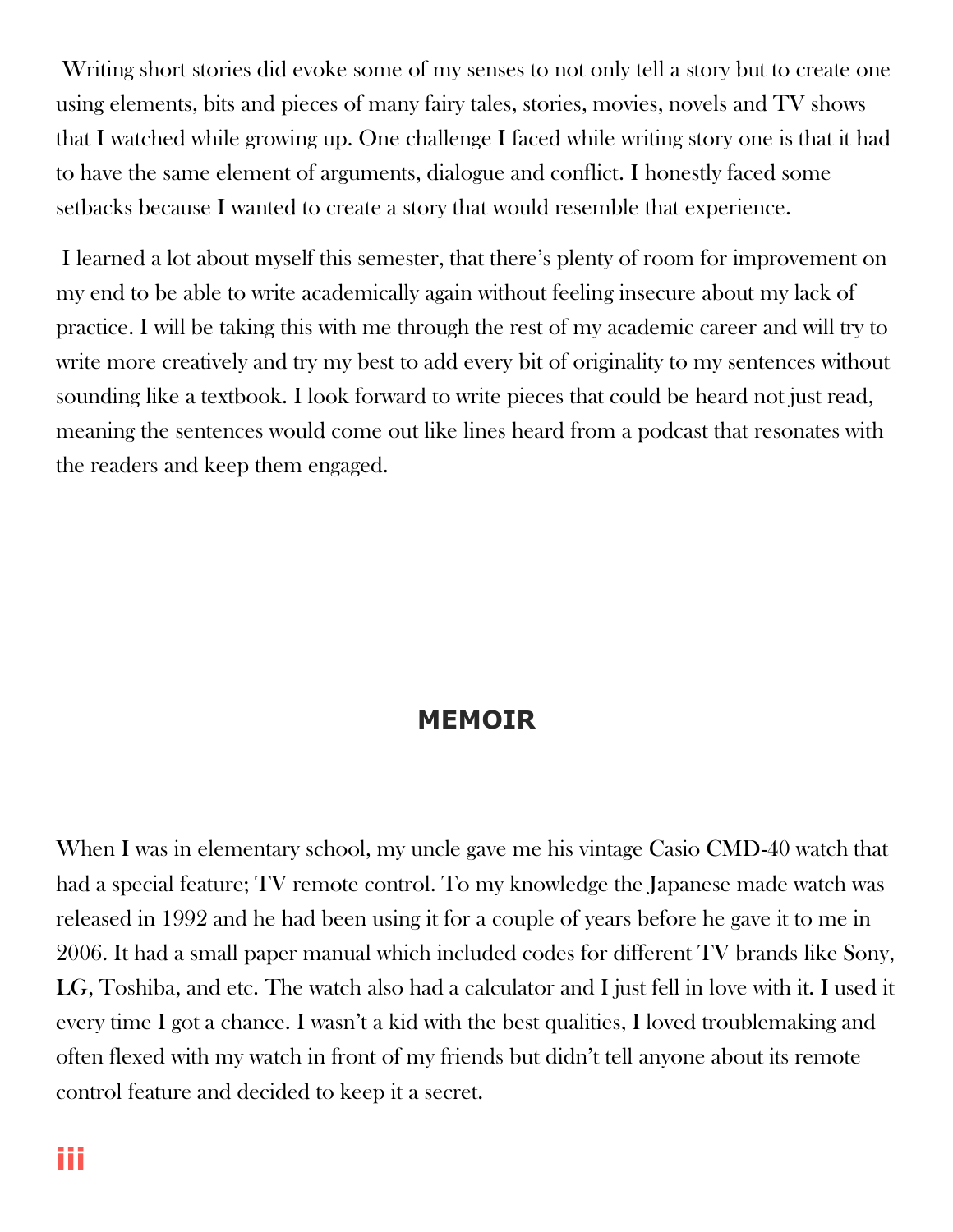Writing short stories did evoke some of my senses to not only tell a story but to create one using elements, bits and pieces of many fairy tales, stories, movies, novels and TV shows that I watched while growing up. One challenge I faced while writing story one is that it had to have the same element of arguments, dialogue and conflict. I honestly faced some setbacks because I wanted to create a story that would resemble that experience.

I learned a lot about myself this semester, that there's plenty of room for improvement on my end to be able to write academically again without feeling insecure about my lack of practice. I will be taking this with me through the rest of my academic career and will try to write more creatively and try my best to add every bit of originality to my sentences without sounding like a textbook. I look forward to write pieces that could be heard not just read, meaning the sentences would come out like lines heard from a podcast that resonates with the readers and keep them engaged.

## **MEMOIR**

When I was in elementary school, my uncle gave me his vintage Casio CMD-40 watch that had a special feature; TV remote control. To my knowledge the Japanese made watch was released in 1992 and he had been using it for a couple of years before he gave it to me in 2006. It had a small paper manual which included codes for different TV brands like Sony, LG, Toshiba, and etc. The watch also had a calculator and I just fell in love with it. I used it every time I got a chance. I wasn't a kid with the best qualities, I loved troublemaking and often flexed with my watch in front of my friends but didn't tell anyone about its remote control feature and decided to keep it a secret.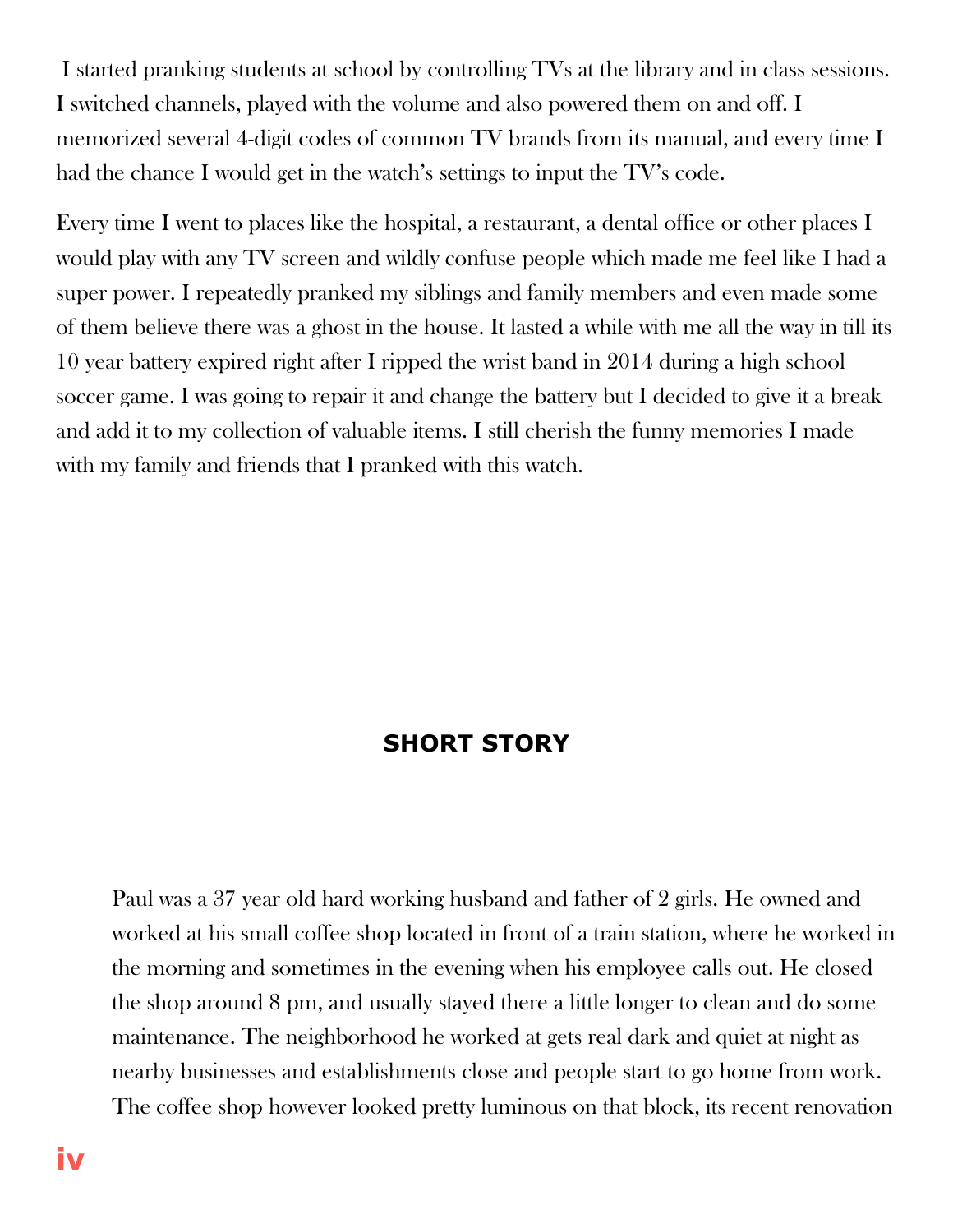I started pranking students at school by controlling TVs at the library and in class sessions. I switched channels, played with the volume and also powered them on and off. I memorized several 4-digit codes of common TV brands from its manual, and every time I had the chance I would get in the watch's settings to input the TV's code.

Every time I went to places like the hospital, a restaurant, a dental office or other places I would play with any TV screen and wildly confuse people which made me feel like I had a super power. I repeatedly pranked my siblings and family members and even made some of them believe there was a ghost in the house. It lasted a while with me all the way in till its 10 year battery expired right after I ripped the wrist band in 2014 during a high school soccer game. I was going to repair it and change the battery but I decided to give it a break and add it to my collection of valuable items. I still cherish the funny memories I made with my family and friends that I pranked with this watch.

## **SHORT STORY**

Paul was a 37 year old hard working husband and father of 2 girls. He owned and worked at his small coffee shop located in front of a train station, where he worked in the morning and sometimes in the evening when his employee calls out. He closed the shop around 8 pm, and usually stayed there a little longer to clean and do some maintenance. The neighborhood he worked at gets real dark and quiet at night as nearby businesses and establishments close and people start to go home from work. The coffee shop however looked pretty luminous on that block, its recent renovation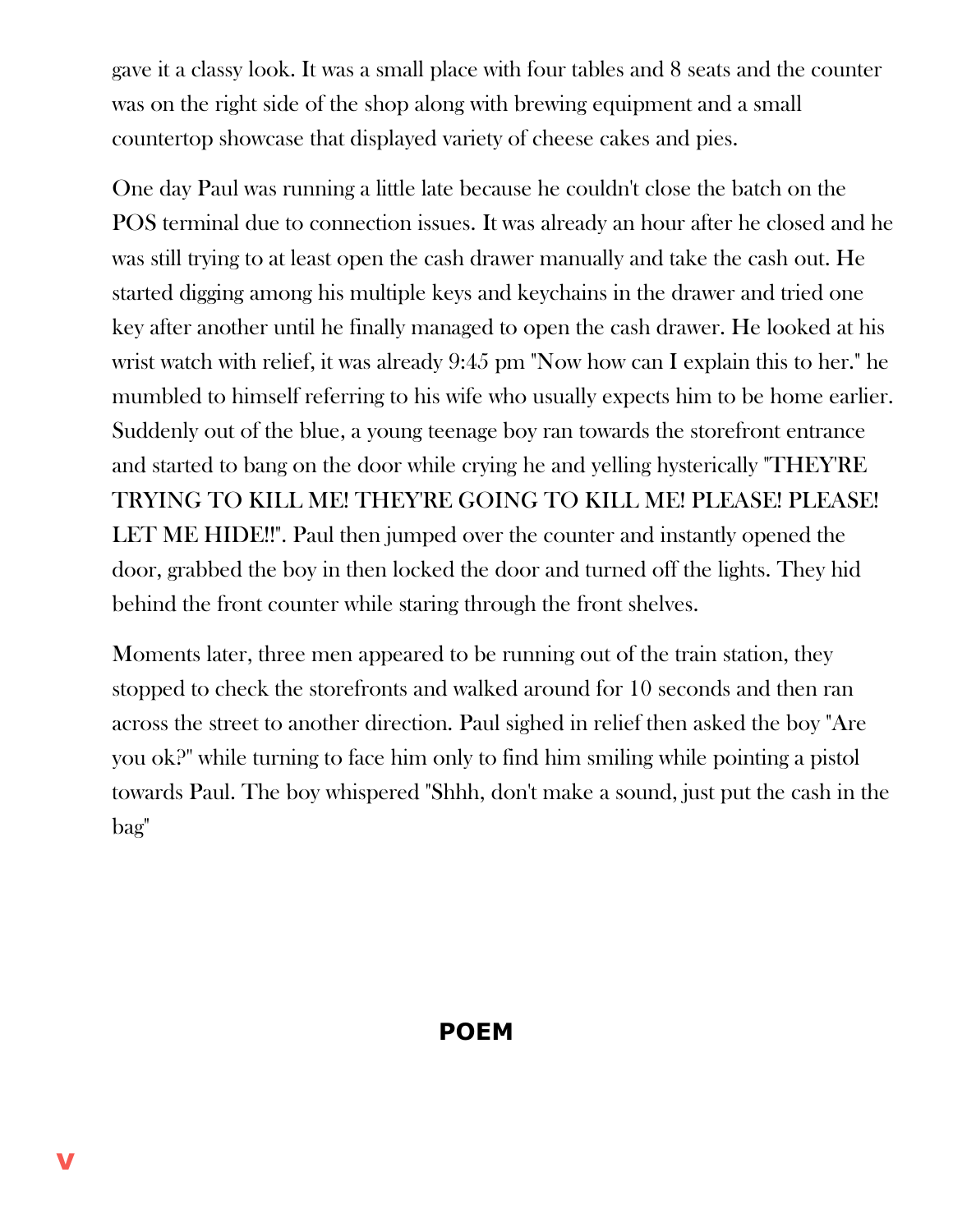gave it a classy look. It was a small place with four tables and 8 seats and the counter was on the right side of the shop along with brewing equipment and a small countertop showcase that displayed variety of cheese cakes and pies.

One day Paul was running a little late because he couldn't close the batch on the POS terminal due to connection issues. It was already an hour after he closed and he was still trying to at least open the cash drawer manually and take the cash out. He started digging among his multiple keys and keychains in the drawer and tried one key after another until he finally managed to open the cash drawer. He looked at his wrist watch with relief, it was already 9:45 pm "Now how can I explain this to her." he mumbled to himself referring to his wife who usually expects him to be home earlier. Suddenly out of the blue, a young teenage boy ran towards the storefront entrance and started to bang on the door while crying he and yelling hysterically "THEY'RE TRYING TO KILL ME! THEY'RE GOING TO KILL ME! PLEASE! PLEASE! LET ME HIDE!!". Paul then jumped over the counter and instantly opened the door, grabbed the boy in then locked the door and turned off the lights. They hid behind the front counter while staring through the front shelves.

Moments later, three men appeared to be running out of the train station, they stopped to check the storefronts and walked around for 10 seconds and then ran across the street to another direction. Paul sighed in relief then asked the boy "Are you ok?'' while turning to face him only to find him smiling while pointing a pistol towards Paul. The boy whispered "Shhh, don't make a sound, just put the cash in the bag"

#### **POEM**

**v**